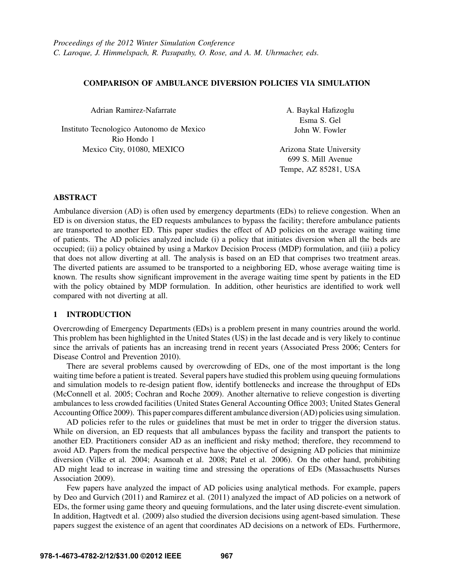# COMPARISON OF AMBULANCE DIVERSION POLICIES VIA SIMULATION

Adrian Ramirez-Nafarrate

Instituto Tecnologico Autonomo de Mexico Rio Hondo 1 Mexico City, 01080, MEXICO

A. Baykal Hafizoglu Esma S. Gel John W. Fowler

Arizona State University 699 S. Mill Avenue Tempe, AZ 85281, USA

## ABSTRACT

Ambulance diversion (AD) is often used by emergency departments (EDs) to relieve congestion. When an ED is on diversion status, the ED requests ambulances to bypass the facility; therefore ambulance patients are transported to another ED. This paper studies the effect of AD policies on the average waiting time of patients. The AD policies analyzed include (i) a policy that initiates diversion when all the beds are occupied; (ii) a policy obtained by using a Markov Decision Process (MDP) formulation, and (iii) a policy that does not allow diverting at all. The analysis is based on an ED that comprises two treatment areas. The diverted patients are assumed to be transported to a neighboring ED, whose average waiting time is known. The results show significant improvement in the average waiting time spent by patients in the ED with the policy obtained by MDP formulation. In addition, other heuristics are identified to work well compared with not diverting at all.

## 1 INTRODUCTION

Overcrowding of Emergency Departments (EDs) is a problem present in many countries around the world. This problem has been highlighted in the United States (US) in the last decade and is very likely to continue since the arrivals of patients has an increasing trend in recent years (Associated Press 2006; Centers for Disease Control and Prevention 2010).

There are several problems caused by overcrowding of EDs, one of the most important is the long waiting time before a patient is treated. Several papers have studied this problem using queuing formulations and simulation models to re-design patient flow, identify bottlenecks and increase the throughput of EDs (McConnell et al. 2005; Cochran and Roche 2009). Another alternative to relieve congestion is diverting ambulances to less crowded facilities (United States General Accounting Office 2003; United States General Accounting Office 2009). This paper compares different ambulance diversion (AD) policies using simulation.

AD policies refer to the rules or guidelines that must be met in order to trigger the diversion status. While on diversion, an ED requests that all ambulances bypass the facility and transport the patients to another ED. Practitioners consider AD as an inefficient and risky method; therefore, they recommend to avoid AD. Papers from the medical perspective have the objective of designing AD policies that minimize diversion (Vilke et al. 2004; Asamoah et al. 2008; Patel et al. 2006). On the other hand, prohibiting AD might lead to increase in waiting time and stressing the operations of EDs (Massachusetts Nurses Association 2009).

Few papers have analyzed the impact of AD policies using analytical methods. For example, papers by Deo and Gurvich (2011) and Ramirez et al. (2011) analyzed the impact of AD policies on a network of EDs, the former using game theory and queuing formulations, and the later using discrete-event simulation. In addition, Hagtvedt et al. (2009) also studied the diversion decisions using agent-based simulation. These papers suggest the existence of an agent that coordinates AD decisions on a network of EDs. Furthermore,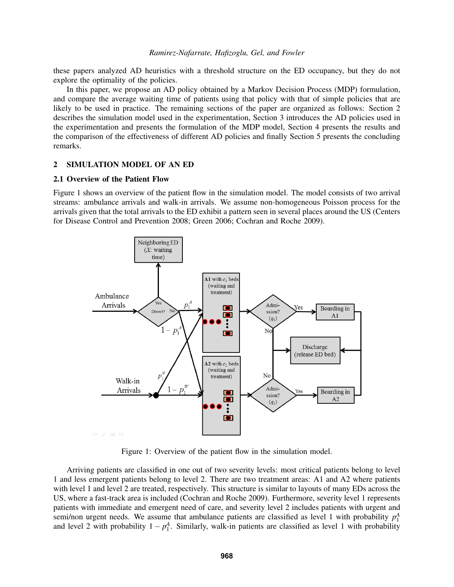these papers analyzed AD heuristics with a threshold structure on the ED occupancy, but they do not explore the optimality of the policies.

In this paper, we propose an AD policy obtained by a Markov Decision Process (MDP) formulation, and compare the average waiting time of patients using that policy with that of simple policies that are likely to be used in practice. The remaining sections of the paper are organized as follows: Section 2 describes the simulation model used in the experimentation, Section 3 introduces the AD policies used in the experimentation and presents the formulation of the MDP model, Section 4 presents the results and the comparison of the effectiveness of different AD policies and finally Section 5 presents the concluding remarks.

### 2 SIMULATION MODEL OF AN ED

# 2.1 Overview of the Patient Flow

Figure 1 shows an overview of the patient flow in the simulation model. The model consists of two arrival streams: ambulance arrivals and walk-in arrivals. We assume non-homogeneous Poisson process for the arrivals given that the total arrivals to the ED exhibit a pattern seen in several places around the US (Centers for Disease Control and Prevention 2008; Green 2006; Cochran and Roche 2009).



Figure 1: Overview of the patient flow in the simulation model.

Arriving patients are classified in one out of two severity levels: most critical patients belong to level 1 and less emergent patients belong to level 2. There are two treatment areas: A1 and A2 where patients with level 1 and level 2 are treated, respectively. This structure is similar to layouts of many EDs across the US, where a fast-track area is included (Cochran and Roche 2009). Furthermore, severity level 1 represents patients with immediate and emergent need of care, and severity level 2 includes patients with urgent and semi/non urgent needs. We assume that ambulance patients are classified as level 1 with probability  $p_1^A$ and level 2 with probability  $1 - p_1^A$ . Similarly, walk-in patients are classified as level 1 with probability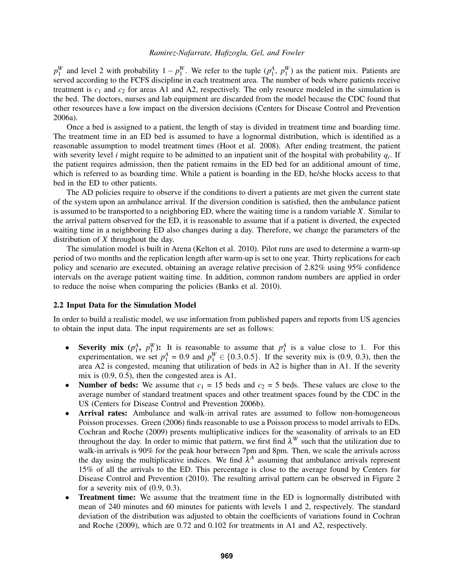$p_1^W$  and level 2 with probability  $1 - p_1^W$ . We refer to the tuple  $(p_1^A, p_1^W)$  as the patient mix. Patients are served according to the FCFS discipline in each treatment area. The number of beds where patients receive treatment is  $c_1$  and  $c_2$  for areas A1 and A2, respectively. The only resource modeled in the simulation is the bed. The doctors, nurses and lab equipment are discarded from the model because the CDC found that other resources have a low impact on the diversion decisions (Centers for Disease Control and Prevention 2006a).

Once a bed is assigned to a patient, the length of stay is divided in treatment time and boarding time. The treatment time in an ED bed is assumed to have a lognormal distribution, which is identified as a reasonable assumption to model treatment times (Hoot et al. 2008). After ending treatment, the patient with severity level *i* might require to be admitted to an inpatient unit of the hospital with probability *q<sup>i</sup>* . If the patient requires admission, then the patient remains in the ED bed for an additional amount of time, which is referred to as boarding time. While a patient is boarding in the ED, he/she blocks access to that bed in the ED to other patients.

The AD policies require to observe if the conditions to divert a patients are met given the current state of the system upon an ambulance arrival. If the diversion condition is satisfied, then the ambulance patient is assumed to be transported to a neighboring ED, where the waiting time is a random variable *X*. Similar to the arrival pattern observed for the ED, it is reasonable to assume that if a patient is diverted, the expected waiting time in a neighboring ED also changes during a day. Therefore, we change the parameters of the distribution of *X* throughout the day.

The simulation model is built in Arena (Kelton et al. 2010). Pilot runs are used to determine a warm-up period of two months and the replication length after warm-up is set to one year. Thirty replications for each policy and scenario are executed, obtaining an average relative precision of 2.82% using 95% confidence intervals on the average patient waiting time. In addition, common random numbers are applied in order to reduce the noise when comparing the policies (Banks et al. 2010).

#### 2.2 Input Data for the Simulation Model

In order to build a realistic model, we use information from published papers and reports from US agencies to obtain the input data. The input requirements are set as follows:

- Severity mix  $(p_1^A, p_1^W)$ : It is reasonable to assume that  $p_1^A$  is a value close to 1. For this experimentation, we set  $p_1^A = 0.9$  and  $p_1^W \in \{0.3, 0.5\}$ . If the severity mix is (0.9, 0.3), then the area A2 is congested, meaning that utilization of beds in A2 is higher than in A1. If the severity mix is (0.9, 0.5), then the congested area is A1.
- **Number of beds:** We assume that  $c_1 = 15$  beds and  $c_2 = 5$  beds. These values are close to the average number of standard treatment spaces and other treatment spaces found by the CDC in the US (Centers for Disease Control and Prevention 2006b).
- Arrival rates: Ambulance and walk-in arrival rates are assumed to follow non-homogeneous Poisson processes. Green (2006) finds reasonable to use a Poisson process to model arrivals to EDs. Cochran and Roche (2009) presents multiplicative indices for the seasonality of arrivals to an ED throughout the day. In order to mimic that pattern, we first find  $\lambda^W$  such that the utilization due to walk-in arrivals is 90% for the peak hour between 7pm and 8pm. Then, we scale the arrivals across the day using the multiplicative indices. We find  $\bar{\lambda}^A$  assuming that ambulance arrivals represent 15% of all the arrivals to the ED. This percentage is close to the average found by Centers for Disease Control and Prevention (2010). The resulting arrival pattern can be observed in Figure 2 for a severity mix of (0.9, 0.3).
- Treatment time: We assume that the treatment time in the ED is lognormally distributed with mean of 240 minutes and 60 minutes for patients with levels 1 and 2, respectively. The standard deviation of the distribution was adjusted to obtain the coefficients of variations found in Cochran and Roche (2009), which are 0.72 and 0.102 for treatments in A1 and A2, respectively.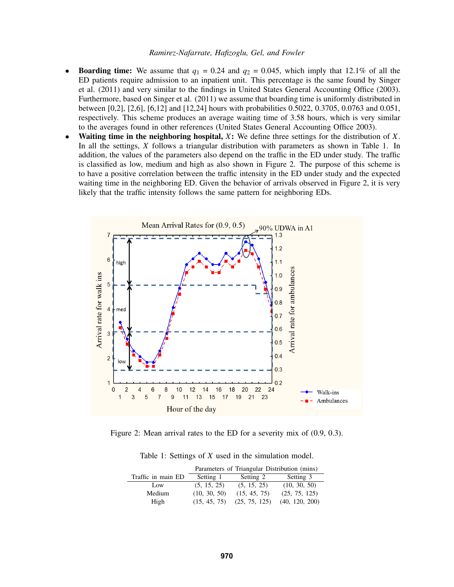- **Boarding time:** We assume that  $q_1 = 0.24$  and  $q_2 = 0.045$ , which imply that 12.1% of all the ED patients require admission to an inpatient unit. This percentage is the same found by Singer et al. (2011) and very similar to the findings in United States General Accounting Office (2003). Furthermore, based on Singer et al. (2011) we assume that boarding time is uniformly distributed in between [0,2], [2,6], [6,12] and [12,24] hours with probabilities 0.5022, 0.3705, 0.0763 and 0.051, respectively. This scheme produces an average waiting time of 3.58 hours, which is very similar to the averages found in other references (United States General Accounting Office 2003).
- Waiting time in the neighboring hospital, *X*: We define three settings for the distribution of *X*. In all the settings, *X* follows a triangular distribution with parameters as shown in Table 1. In addition, the values of the parameters also depend on the traffic in the ED under study. The traffic is classified as low, medium and high as also shown in Figure 2. The purpose of this scheme is to have a positive correlation between the traffic intensity in the ED under study and the expected waiting time in the neighboring ED. Given the behavior of arrivals observed in Figure 2, it is very likely that the traffic intensity follows the same pattern for neighboring EDs.



Figure 2: Mean arrival rates to the ED for a severity mix of (0.9, 0.3).

| Table 1: Settings of $X$ used in the simulation model. |  |  |  |  |  |  |  |  |  |  |
|--------------------------------------------------------|--|--|--|--|--|--|--|--|--|--|
|--------------------------------------------------------|--|--|--|--|--|--|--|--|--|--|

|                    | Parameters of Triangular Distribution (mins) |               |                |  |  |  |  |
|--------------------|----------------------------------------------|---------------|----------------|--|--|--|--|
| Traffic in main ED | Setting 1                                    | Setting 2     | Setting 3      |  |  |  |  |
| Low                | (5, 15, 25)                                  | (5, 15, 25)   | (10, 30, 50)   |  |  |  |  |
| Medium             | (10, 30, 50)                                 | (15, 45, 75)  | (25, 75, 125)  |  |  |  |  |
| High               | (15, 45, 75)                                 | (25, 75, 125) | (40, 120, 200) |  |  |  |  |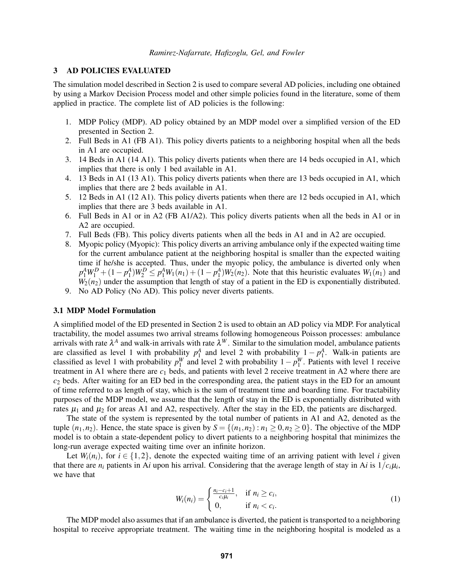## 3 AD POLICIES EVALUATED

The simulation model described in Section 2 is used to compare several AD policies, including one obtained by using a Markov Decision Process model and other simple policies found in the literature, some of them applied in practice. The complete list of AD policies is the following:

- 1. MDP Policy (MDP). AD policy obtained by an MDP model over a simplified version of the ED presented in Section 2.
- 2. Full Beds in A1 (FB A1). This policy diverts patients to a neighboring hospital when all the beds in A1 are occupied.
- 3. 14 Beds in A1 (14 A1). This policy diverts patients when there are 14 beds occupied in A1, which implies that there is only 1 bed available in A1.
- 4. 13 Beds in A1 (13 A1). This policy diverts patients when there are 13 beds occupied in A1, which implies that there are 2 beds available in A1.
- 5. 12 Beds in A1 (12 A1). This policy diverts patients when there are 12 beds occupied in A1, which implies that there are 3 beds available in A1.
- 6. Full Beds in A1 or in A2 (FB A1/A2). This policy diverts patients when all the beds in A1 or in A2 are occupied.
- 7. Full Beds (FB). This policy diverts patients when all the beds in A1 and in A2 are occupied.
- 8. Myopic policy (Myopic): This policy diverts an arriving ambulance only if the expected waiting time for the current ambulance patient at the neighboring hospital is smaller than the expected waiting time if he/she is accepted. Thus, under the myopic policy, the ambulance is diverted only when  $p_1^A W_1^D + (1 - p_1^A) W_2^D \leq p_1^A W_1(n_1) + (1 - p_1^A) W_2(n_2)$ . Note that this heuristic evaluates  $W_1(n_1)$  and  $W_2(n_2)$  under the assumption that length of stay of a patient in the ED is exponentially distributed.
- 9. No AD Policy (No AD). This policy never diverts patients.

## 3.1 MDP Model Formulation

A simplified model of the ED presented in Section 2 is used to obtain an AD policy via MDP. For analytical tractability, the model assumes two arrival streams following homogeneous Poisson processes: ambulance arrivals with rate  $\lambda^A$  and walk-in arrivals with rate  $\lambda^W$ . Similar to the simulation model, ambulance patients are classified as level 1 with probability  $p_1^A$  and level 2 with probability  $1 - p_1^A$ . Walk-in patients are classified as level 1 with probability  $p_1^W$  and level 2 with probability  $1 - p_1^W$ . Patients with level 1 receive treatment in A1 where there are *c*<sup>1</sup> beds, and patients with level 2 receive treatment in A2 where there are *c*<sup>2</sup> beds. After waiting for an ED bed in the corresponding area, the patient stays in the ED for an amount of time referred to as length of stay, which is the sum of treatment time and boarding time. For tractability purposes of the MDP model, we assume that the length of stay in the ED is exponentially distributed with rates  $\mu_1$  and  $\mu_2$  for areas A1 and A2, respectively. After the stay in the ED, the patients are discharged.

The state of the system is represented by the total number of patients in A1 and A2, denoted as the tuple  $(n_1, n_2)$ . Hence, the state space is given by  $S = \{(n_1, n_2) : n_1 \geq 0, n_2 \geq 0\}$ . The objective of the MDP model is to obtain a state-dependent policy to divert patients to a neighboring hospital that minimizes the long-run average expected waiting time over an infinite horizon.

Let  $W_i(n_i)$ , for  $i \in \{1,2\}$ , denote the expected waiting time of an arriving patient with level *i* given that there are  $n_i$  patients in A*i* upon his arrival. Considering that the average length of stay in A*i* is  $1/c_i\mu_i$ , we have that

$$
W_i(n_i) = \begin{cases} \frac{n_i - c_i + 1}{c_i \mu_i}, & \text{if } n_i \ge c_i, \\ 0, & \text{if } n_i < c_i. \end{cases} \tag{1}
$$

The MDP model also assumes that if an ambulance is diverted, the patient is transported to a neighboring hospital to receive appropriate treatment. The waiting time in the neighboring hospital is modeled as a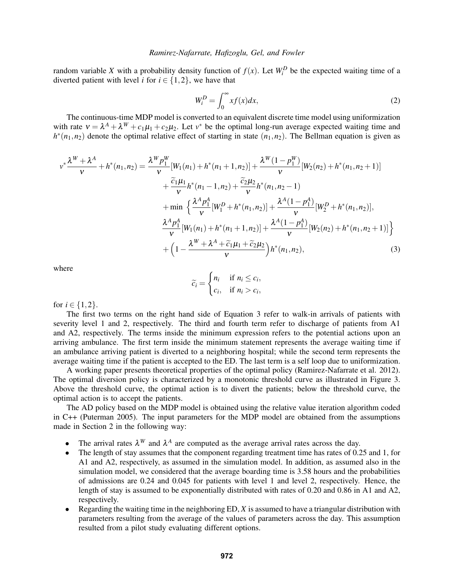random variable *X* with a probability density function of  $f(x)$ . Let  $W_i^D$  be the expected waiting time of a diverted patient with level *i* for  $i \in \{1,2\}$ , we have that

$$
W_i^D = \int_0^\infty x f(x) dx,\tag{2}
$$

The continuous-time MDP model is converted to an equivalent discrete time model using uniformization with rate  $v = \lambda^A + \lambda^W + c_1\mu_1 + c_2\mu_2$ . Let  $v^*$  be the optimal long-run average expected waiting time and  $h^*(n_1, n_2)$  denote the optimal relative effect of starting in state  $(n_1, n_2)$ . The Bellman equation is given as

$$
v^* \frac{\lambda^W + \lambda^A}{v} + h^*(n_1, n_2) = \frac{\lambda^W p_1^W}{v} [W_1(n_1) + h^*(n_1 + 1, n_2)] + \frac{\lambda^W (1 - p_1^W)}{v} [W_2(n_2) + h^*(n_1, n_2 + 1)]
$$
  
+ 
$$
\frac{\tilde{c}_1 \mu_1}{v} h^*(n_1 - 1, n_2) + \frac{\tilde{c}_2 \mu_2}{v} h^*(n_1, n_2 - 1)
$$
  
+ min 
$$
\left\{ \frac{\lambda^A p_1^A}{v} [W_1^D + h^*(n_1, n_2)] + \frac{\lambda^A (1 - p_1^A)}{v} [W_2^D + h^*(n_1, n_2)], \frac{\lambda^A p_1^A}{v} [W_1(n_1) + h^*(n_1 + 1, n_2)] + \frac{\lambda^A (1 - p_1^A)}{v} [W_2(n_2) + h^*(n_1, n_2 + 1)] \right\}
$$
  
+ 
$$
\left( 1 - \frac{\lambda^W + \lambda^A + \tilde{c}_1 \mu_1 + \tilde{c}_2 \mu_2}{v} \right) h^*(n_1, n_2),
$$
 (3)

where

$$
\widetilde{c}_i = \begin{cases} n_i & \text{if } n_i \leq c_i, \\ c_i, & \text{if } n_i > c_i, \end{cases}
$$

for  $i \in \{1, 2\}$ .

The first two terms on the right hand side of Equation 3 refer to walk-in arrivals of patients with severity level 1 and 2, respectively. The third and fourth term refer to discharge of patients from A1 and A2, respectively. The terms inside the minimum expression refers to the potential actions upon an arriving ambulance. The first term inside the minimum statement represents the average waiting time if an ambulance arriving patient is diverted to a neighboring hospital; while the second term represents the average waiting time if the patient is accepted to the ED. The last term is a self loop due to uniformization.

A working paper presents theoretical properties of the optimal policy (Ramirez-Nafarrate et al. 2012). The optimal diversion policy is characterized by a monotonic threshold curve as illustrated in Figure 3. Above the threshold curve, the optimal action is to divert the patients; below the threshold curve, the optimal action is to accept the patients.

The AD policy based on the MDP model is obtained using the relative value iteration algorithm coded in C++ (Puterman 2005). The input parameters for the MDP model are obtained from the assumptions made in Section 2 in the following way:

- The arrival rates  $\lambda^W$  and  $\lambda^A$  are computed as the average arrival rates across the day.
- The length of stay assumes that the component regarding treatment time has rates of 0.25 and 1, for A1 and A2, respectively, as assumed in the simulation model. In addition, as assumed also in the simulation model, we considered that the average boarding time is 3.58 hours and the probabilities of admissions are 0.24 and 0.045 for patients with level 1 and level 2, respectively. Hence, the length of stay is assumed to be exponentially distributed with rates of 0.20 and 0.86 in A1 and A2, respectively.
- Regarding the waiting time in the neighboring ED, *X* is assumed to have a triangular distribution with parameters resulting from the average of the values of parameters across the day. This assumption resulted from a pilot study evaluating different options.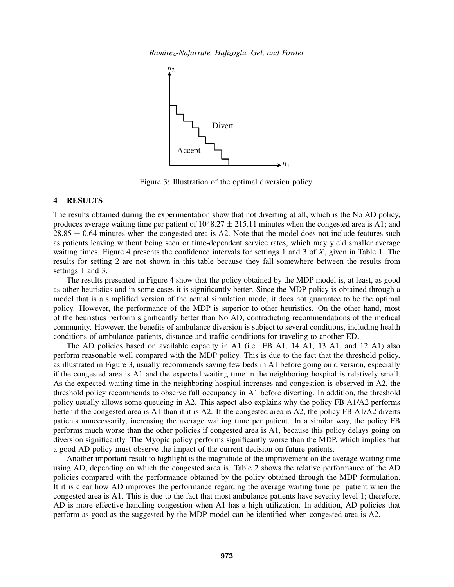*Ramirez-Nafarrate, Hafizoglu, Gel, and Fowler*



Figure 3: Illustration of the optimal diversion policy.

## 4 RESULTS

The results obtained during the experimentation show that not diverting at all, which is the No AD policy, produces average waiting time per patient of  $1048.27 \pm 215.11$  minutes when the congested area is A1; and  $28.85 \pm 0.64$  minutes when the congested area is A2. Note that the model does not include features such as patients leaving without being seen or time-dependent service rates, which may yield smaller average waiting times. Figure 4 presents the confidence intervals for settings 1 and 3 of *X*, given in Table 1. The results for setting 2 are not shown in this table because they fall somewhere between the results from settings 1 and 3.

The results presented in Figure 4 show that the policy obtained by the MDP model is, at least, as good as other heuristics and in some cases it is significantly better. Since the MDP policy is obtained through a model that is a simplified version of the actual simulation mode, it does not guarantee to be the optimal policy. However, the performance of the MDP is superior to other heuristics. On the other hand, most of the heuristics perform significantly better than No AD, contradicting recommendations of the medical community. However, the benefits of ambulance diversion is subject to several conditions, including health conditions of ambulance patients, distance and traffic conditions for traveling to another ED.

The AD policies based on available capacity in A1 (i.e. FB A1, 14 A1, 13 A1, and 12 A1) also perform reasonable well compared with the MDP policy. This is due to the fact that the threshold policy, as illustrated in Figure 3, usually recommends saving few beds in A1 before going on diversion, especially if the congested area is A1 and the expected waiting time in the neighboring hospital is relatively small. As the expected waiting time in the neighboring hospital increases and congestion is observed in A2, the threshold policy recommends to observe full occupancy in A1 before diverting. In addition, the threshold policy usually allows some queueing in A2. This aspect also explains why the policy FB A1/A2 performs better if the congested area is A1 than if it is A2. If the congested area is A2, the policy FB A1/A2 diverts patients unnecessarily, increasing the average waiting time per patient. In a similar way, the policy FB performs much worse than the other policies if congested area is A1, because this policy delays going on diversion significantly. The Myopic policy performs significantly worse than the MDP, which implies that a good AD policy must observe the impact of the current decision on future patients.

Another important result to highlight is the magnitude of the improvement on the average waiting time using AD, depending on which the congested area is. Table 2 shows the relative performance of the AD policies compared with the performance obtained by the policy obtained through the MDP formulation. It it is clear how AD improves the performance regarding the average waiting time per patient when the congested area is A1. This is due to the fact that most ambulance patients have severity level 1; therefore, AD is more effective handling congestion when A1 has a high utilization. In addition, AD policies that perform as good as the suggested by the MDP model can be identified when congested area is A2.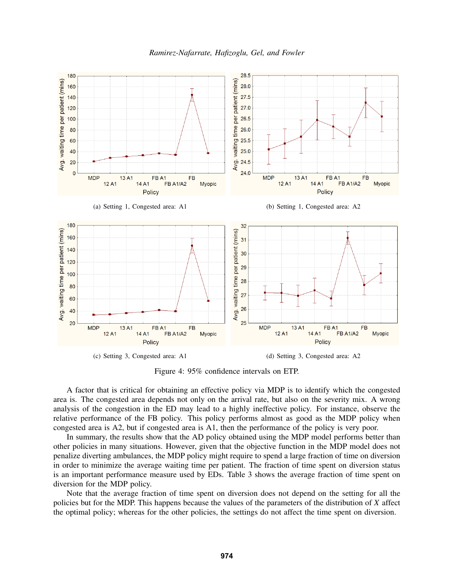



Figure 4: 95% confidence intervals on ETP.

A factor that is critical for obtaining an effective policy via MDP is to identify which the congested area is. The congested area depends not only on the arrival rate, but also on the severity mix. A wrong analysis of the congestion in the ED may lead to a highly ineffective policy. For instance, observe the relative performance of the FB policy. This policy performs almost as good as the MDP policy when congested area is A2, but if congested area is A1, then the performance of the policy is very poor.

In summary, the results show that the AD policy obtained using the MDP model performs better than other policies in many situations. However, given that the objective function in the MDP model does not penalize diverting ambulances, the MDP policy might require to spend a large fraction of time on diversion in order to minimize the average waiting time per patient. The fraction of time spent on diversion status is an important performance measure used by EDs. Table 3 shows the average fraction of time spent on diversion for the MDP policy.

Note that the average fraction of time spent on diversion does not depend on the setting for all the policies but for the MDP. This happens because the values of the parameters of the distribution of *X* affect the optimal policy; whereas for the other policies, the settings do not affect the time spent on diversion.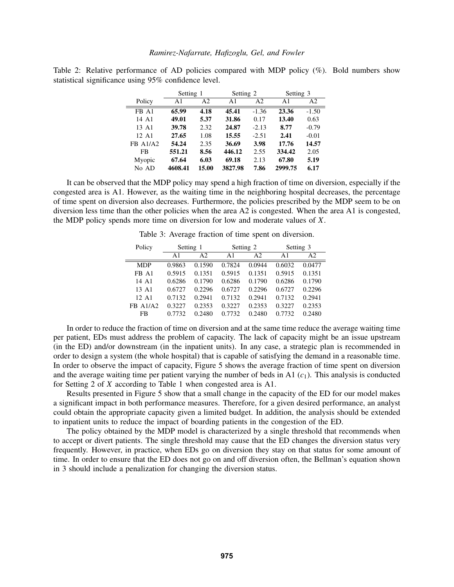|          | Setting 1 |                | Setting 2      |                | Setting 3      |                |
|----------|-----------|----------------|----------------|----------------|----------------|----------------|
| Policy   | A1        | A <sub>2</sub> | A <sub>1</sub> | A <sub>2</sub> | A <sub>1</sub> | A <sub>2</sub> |
| FB A1    | 65.99     | 4.18           | 45.41          | $-1.36$        | 23.36          | $-1.50$        |
| 14 A1    | 49.01     | 5.37           | 31.86          | 0.17           | 13.40          | 0.63           |
| 13 A1    | 39.78     | 2.32           | 24.87          | $-2.13$        | 8.77           | $-0.79$        |
| 12 A1    | 27.65     | 1.08           | 15.55          | $-2.51$        | 2.41           | $-0.01$        |
| FB A1/A2 | 54.24     | 2.35           | 36.69          | 3.98           | 17.76          | 14.57          |
| FB       | 551.21    | 8.56           | 446.12         | 2.55           | 334.42         | 2.05           |
| Myopic   | 67.64     | 6.03           | 69.18          | 2.13           | 67.80          | 5.19           |
| No AD    | 4608.41   | 15.00          | 3827.98        | 7.86           | 2999.75        | 6.17           |

Table 2: Relative performance of AD policies compared with MDP policy (%). Bold numbers show statistical significance using 95% confidence level.

It can be observed that the MDP policy may spend a high fraction of time on diversion, especially if the congested area is A1. However, as the waiting time in the neighboring hospital decreases, the percentage of time spent on diversion also decreases. Furthermore, the policies prescribed by the MDP seem to be on diversion less time than the other policies when the area A2 is congested. When the area A1 is congested, the MDP policy spends more time on diversion for low and moderate values of *X*.

Table 3: Average fraction of time spent on diversion.

| Policy          | Setting 1 |                |                | Setting 2      | Setting 3      |        |
|-----------------|-----------|----------------|----------------|----------------|----------------|--------|
|                 | A1        | A <sub>2</sub> | $\mathbf{A}$ 1 | A <sub>2</sub> | $\mathbf{A}$ 1 | A2     |
| <b>MDP</b>      | 0.9863    | 0.1590         | 0.7824         | 0.0944         | 0.6032         | 0.0477 |
| FB A1           | 0.5915    | 0.1351         | 0.5915         | 0.1351         | 0.5915         | 0.1351 |
| 14 A1           | 0.6286    | 0.1790         | 0.6286         | 0.1790         | 0.6286         | 0.1790 |
| 13 A1           | 0.6727    | 0.2296         | 0.6727         | 0.2296         | 0.6727         | 0.2296 |
| 12. A $1$       | 0.7132    | 0.2941         | 0.7132         | 0.2941         | 0.7132         | 0.2941 |
| <b>FB A1/A2</b> | 0.3227    | 0.2353         | 0.3227         | 0.2353         | 0.3227         | 0.2353 |
| FB              | 0.7732    | 0.2480         | 0.7732         | 0.2480         | 0.7732         | 0.2480 |

In order to reduce the fraction of time on diversion and at the same time reduce the average waiting time per patient, EDs must address the problem of capacity. The lack of capacity might be an issue upstream (in the ED) and/or downstream (in the inpatient units). In any case, a strategic plan is recommended in order to design a system (the whole hospital) that is capable of satisfying the demand in a reasonable time. In order to observe the impact of capacity, Figure 5 shows the average fraction of time spent on diversion and the average waiting time per patient varying the number of beds in A1  $(c_1)$ . This analysis is conducted for Setting 2 of *X* according to Table 1 when congested area is A1.

Results presented in Figure 5 show that a small change in the capacity of the ED for our model makes a significant impact in both performance measures. Therefore, for a given desired performance, an analyst could obtain the appropriate capacity given a limited budget. In addition, the analysis should be extended to inpatient units to reduce the impact of boarding patients in the congestion of the ED.

The policy obtained by the MDP model is characterized by a single threshold that recommends when to accept or divert patients. The single threshold may cause that the ED changes the diversion status very frequently. However, in practice, when EDs go on diversion they stay on that status for some amount of time. In order to ensure that the ED does not go on and off diversion often, the Bellman's equation shown in 3 should include a penalization for changing the diversion status.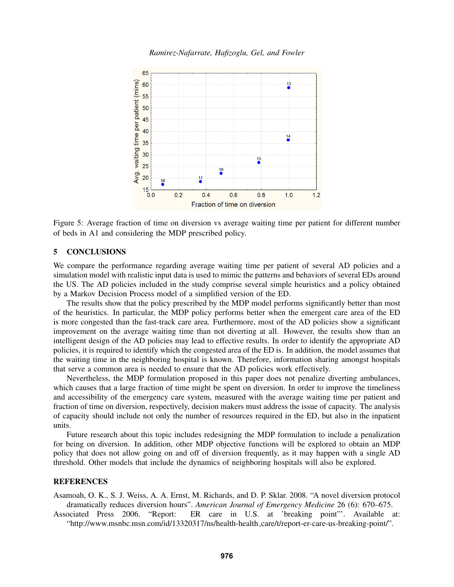

Figure 5: Average fraction of time on diversion vs average waiting time per patient for different number of beds in A1 and considering the MDP prescribed policy.

#### 5 CONCLUSIONS

We compare the performance regarding average waiting time per patient of several AD policies and a simulation model with realistic input data is used to mimic the patterns and behaviors of several EDs around the US. The AD policies included in the study comprise several simple heuristics and a policy obtained by a Markov Decision Process model of a simplified version of the ED.

The results show that the policy prescribed by the MDP model performs significantly better than most of the heuristics. In particular, the MDP policy performs better when the emergent care area of the ED is more congested than the fast-track care area. Furthermore, most of the AD policies show a significant improvement on the average waiting time than not diverting at all. However, the results show than an intelligent design of the AD policies may lead to effective results. In order to identify the appropriate AD policies, it is required to identify which the congested area of the ED is. In addition, the model assumes that the waiting time in the neighboring hospital is known. Therefore, information sharing amongst hospitals that serve a common area is needed to ensure that the AD policies work effectively.

Nevertheless, the MDP formulation proposed in this paper does not penalize diverting ambulances, which causes that a large fraction of time might be spent on diversion. In order to improve the timeliness and accessibility of the emergency care system, measured with the average waiting time per patient and fraction of time on diversion, respectively, decision makers must address the issue of capacity. The analysis of capacity should include not only the number of resources required in the ED, but also in the inpatient units.

Future research about this topic includes redesigning the MDP formulation to include a penalization for being on diversion. In addition, other MDP objective functions will be explored to obtain an MDP policy that does not allow going on and off of diversion frequently, as it may happen with a single AD threshold. Other models that include the dynamics of neighboring hospitals will also be explored.

## **REFERENCES**

Asamoah, O. K., S. J. Weiss, A. A. Ernst, M. Richards, and D. P. Sklar. 2008. "A novel diversion protocol dramatically reduces diversion hours". *American Journal of Emergency Medicine* 26 (6): 670–675.

Associated Press 2006. "Report: ER care in U.S. at 'breaking point"'. Available at: "http://www.msnbc.msn.com/id/13320317/ns/health-health care/t/report-er-care-us-breaking-point/".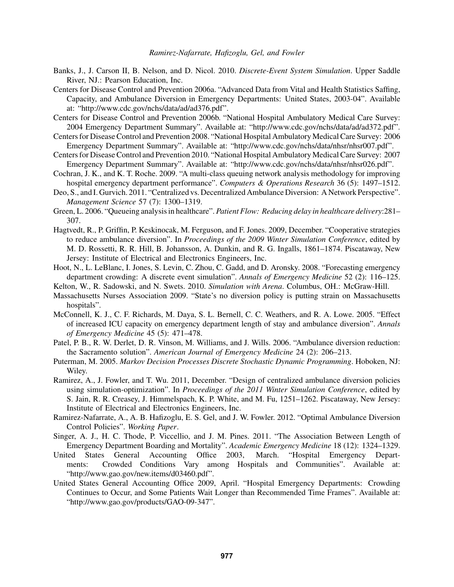- Banks, J., J. Carson II, B. Nelson, and D. Nicol. 2010. *Discrete-Event System Simulation*. Upper Saddle River, NJ.: Pearson Education, Inc.
- Centers for Disease Control and Prevention 2006a. "Advanced Data from Vital and Health Statistics Saffing, Capacity, and Ambulance Diversion in Emergency Departments: United States, 2003-04". Available at: "http://www.cdc.gov/nchs/data/ad/ad376.pdf".
- Centers for Disease Control and Prevention 2006b. "National Hospital Ambulatory Medical Care Survey: 2004 Emergency Department Summary". Available at: "http://www.cdc.gov/nchs/data/ad/ad372.pdf".
- Centers for Disease Control and Prevention 2008. "National Hospital Ambulatory Medical Care Survey: 2006 Emergency Department Summary". Available at: "http://www.cdc.gov/nchs/data/nhsr/nhsr007.pdf".
- Centers for Disease Control and Prevention 2010. "National Hospital Ambulatory Medical Care Survey: 2007 Emergency Department Summary". Available at: "http://www.cdc.gov/nchs/data/nhsr/nhsr026.pdf".
- Cochran, J. K., and K. T. Roche. 2009. "A multi-class queuing network analysis methodology for improving hospital emergency department performance". *Computers & Operations Research* 36 (5): 1497–1512.
- Deo, S., and I. Gurvich. 2011. "Centralized vs. Decentralized Ambulance Diversion: A Network Perspective". *Management Science* 57 (7): 1300–1319.
- Green, L. 2006. "Queueing analysis in healthcare". *Patient Flow: Reducing delay in healthcare delivery*:281– 307.
- Hagtvedt, R., P. Griffin, P. Keskinocak, M. Ferguson, and F. Jones. 2009, December. "Cooperative strategies to reduce ambulance diversion". In *Proceedings of the 2009 Winter Simulation Conference*, edited by M. D. Rossetti, R. R. Hill, B. Johansson, A. Dunkin, and R. G. Ingalls, 1861–1874. Piscataway, New Jersey: Institute of Electrical and Electronics Engineers, Inc.
- Hoot, N., L. LeBlanc, I. Jones, S. Levin, C. Zhou, C. Gadd, and D. Aronsky. 2008. "Forecasting emergency department crowding: A discrete event simulation". *Annals of Emergency Medicine* 52 (2): 116–125.
- Kelton, W., R. Sadowski, and N. Swets. 2010. *Simulation with Arena*. Columbus, OH.: McGraw-Hill.
- Massachusetts Nurses Association 2009. "State's no diversion policy is putting strain on Massachusetts hospitals".
- McConnell, K. J., C. F. Richards, M. Daya, S. L. Bernell, C. C. Weathers, and R. A. Lowe. 2005. "Effect of increased ICU capacity on emergency department length of stay and ambulance diversion". *Annals of Emergency Medicine* 45 (5): 471–478.
- Patel, P. B., R. W. Derlet, D. R. Vinson, M. Williams, and J. Wills. 2006. "Ambulance diversion reduction: the Sacramento solution". *American Journal of Emergency Medicine* 24 (2): 206–213.
- Puterman, M. 2005. *Markov Decision Processes Discrete Stochastic Dynamic Programming*. Hoboken, NJ: Wiley.
- Ramirez, A., J. Fowler, and T. Wu. 2011, December. "Design of centralized ambulance diversion policies using simulation-optimization". In *Proceedings of the 2011 Winter Simulation Conference*, edited by S. Jain, R. R. Creasey, J. Himmelspach, K. P. White, and M. Fu, 1251–1262. Piscataway, New Jersey: Institute of Electrical and Electronics Engineers, Inc.
- Ramirez-Nafarrate, A., A. B. Hafizoglu, E. S. Gel, and J. W. Fowler. 2012. "Optimal Ambulance Diversion Control Policies". *Working Paper*.
- Singer, A. J., H. C. Thode, P. Viccellio, and J. M. Pines. 2011. "The Association Between Length of Emergency Department Boarding and Mortality". *Academic Emergency Medicine* 18 (12): 1324–1329.
- United States General Accounting Office 2003, March. "Hospital Emergency Departments: Crowded Conditions Vary among Hospitals and Communities". Available at: "http://www.gao.gov/new.items/d03460.pdf".
- United States General Accounting Office 2009, April. "Hospital Emergency Departments: Crowding Continues to Occur, and Some Patients Wait Longer than Recommended Time Frames". Available at: "http://www.gao.gov/products/GAO-09-347".